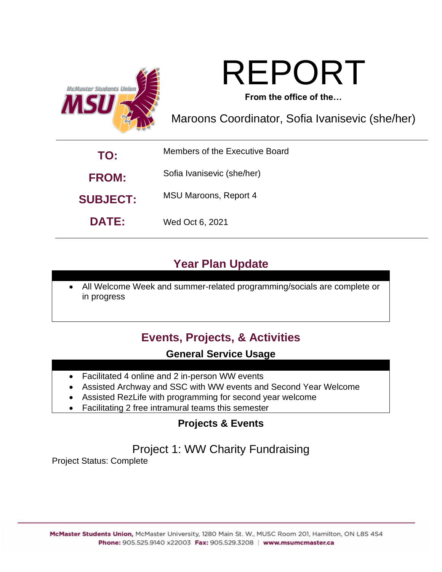



**From the office of the…**

Maroons Coordinator, Sofia Ivanisevic (she/her)

| TO:             | Members of the Executive Board |  |  |  |  |  |
|-----------------|--------------------------------|--|--|--|--|--|
| <b>FROM:</b>    | Sofia Ivanisevic (she/her)     |  |  |  |  |  |
| <b>SUBJECT:</b> | <b>MSU Maroons, Report 4</b>   |  |  |  |  |  |
| <b>DATE:</b>    | Wed Oct 6, 2021                |  |  |  |  |  |

## **Year Plan Update**

• All Welcome Week and summer-related programming/socials are complete or in progress

## **Events, Projects, & Activities**

#### **General Service Usage**

- Facilitated 4 online and 2 in-person WW events
- Assisted Archway and SSC with WW events and Second Year Welcome
- Assisted RezLife with programming for second year welcome
- Facilitating 2 free intramural teams this semester

#### **Projects & Events**

### Project 1: WW Charity Fundraising

Project Status: Complete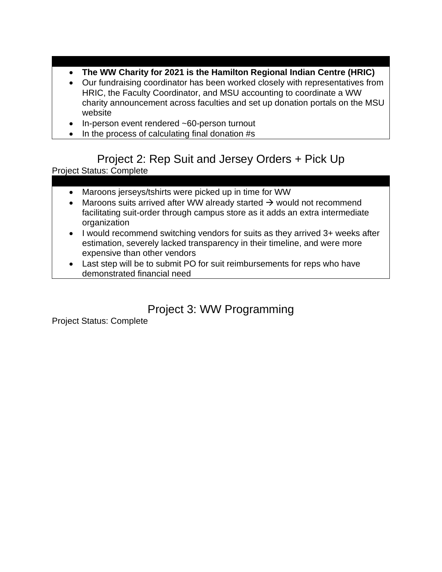- **The WW Charity for 2021 is the Hamilton Regional Indian Centre (HRIC)**
- Our fundraising coordinator has been worked closely with representatives from HRIC, the Faculty Coordinator, and MSU accounting to coordinate a WW charity announcement across faculties and set up donation portals on the MSU website
- In-person event rendered ~60-person turnout
- In the process of calculating final donation #s

### Project 2: Rep Suit and Jersey Orders + Pick Up

Project Status: Complete

- Maroons jerseys/tshirts were picked up in time for WW
- Maroons suits arrived after WW already started  $\rightarrow$  would not recommend facilitating suit-order through campus store as it adds an extra intermediate organization
- I would recommend switching vendors for suits as they arrived 3+ weeks after estimation, severely lacked transparency in their timeline, and were more expensive than other vendors
- Last step will be to submit PO for suit reimbursements for reps who have demonstrated financial need

### Project 3: WW Programming

Project Status: Complete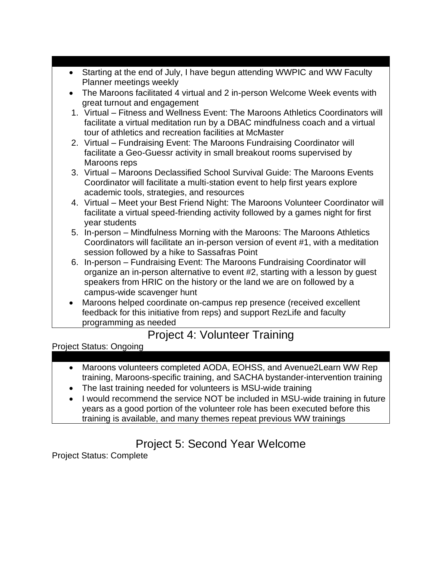| • Starting at the end of July, I have begun attending WWPIC and WW Faculty       |
|----------------------------------------------------------------------------------|
| Planner meetings weekly                                                          |
| • The Maroons facilitated 4 virtual and 2 in-person Welcome Week events with     |
| great turnout and engagement                                                     |
| 1. Virtual – Fitness and Wellness Event: The Maroons Athletics Coordinators will |
| <b>Society</b> c has doen assembled to a DRAC mindfulness coach and a virtual    |

- facilitate a virtual meditation run by a DBAC mindfulness coach and a virtual tour of athletics and recreation facilities at McMaster
- 2. Virtual Fundraising Event: The Maroons Fundraising Coordinator will facilitate a Geo-Guessr activity in small breakout rooms supervised by Maroons reps
- 3. Virtual Maroons Declassified School Survival Guide: The Maroons Events Coordinator will facilitate a multi-station event to help first years explore academic tools, strategies, and resources
- 4. Virtual Meet your Best Friend Night: The Maroons Volunteer Coordinator will facilitate a virtual speed-friending activity followed by a games night for first year students
- 5. In-person Mindfulness Morning with the Maroons: The Maroons Athletics Coordinators will facilitate an in-person version of event #1, with a meditation session followed by a hike to Sassafras Point
- 6. In-person Fundraising Event: The Maroons Fundraising Coordinator will organize an in-person alternative to event #2, starting with a lesson by guest speakers from HRIC on the history or the land we are on followed by a campus-wide scavenger hunt
- Maroons helped coordinate on-campus rep presence (received excellent feedback for this initiative from reps) and support RezLife and faculty programming as needed

### Project 4: Volunteer Training

Project Status: Ongoing

- Maroons volunteers completed AODA, EOHSS, and Avenue2Learn WW Rep training, Maroons-specific training, and SACHA bystander-intervention training
- The last training needed for volunteers is MSU-wide training
- I would recommend the service NOT be included in MSU-wide training in future years as a good portion of the volunteer role has been executed before this training is available, and many themes repeat previous WW trainings

# Project 5: Second Year Welcome

Project Status: Complete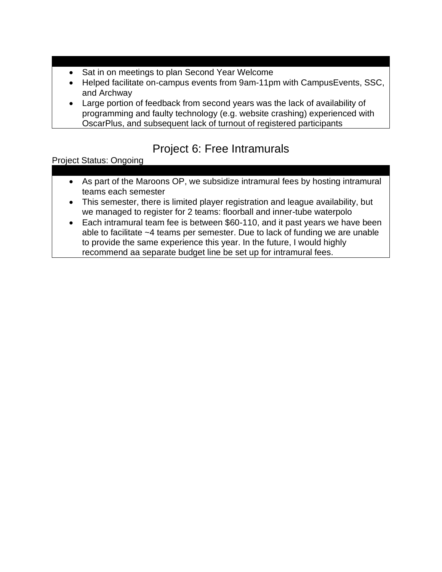- Sat in on meetings to plan Second Year Welcome
- Helped facilitate on-campus events from 9am-11pm with CampusEvents, SSC, and Archway
- Large portion of feedback from second years was the lack of availability of programming and faulty technology (e.g. website crashing) experienced with OscarPlus, and subsequent lack of turnout of registered participants

## Project 6: Free Intramurals

Project Status: Ongoing

- As part of the Maroons OP, we subsidize intramural fees by hosting intramural teams each semester
- This semester, there is limited player registration and league availability, but we managed to register for 2 teams: floorball and inner-tube waterpolo
- Each intramural team fee is between \$60-110, and it past years we have been able to facilitate ~4 teams per semester. Due to lack of funding we are unable to provide the same experience this year. In the future, I would highly recommend aa separate budget line be set up for intramural fees.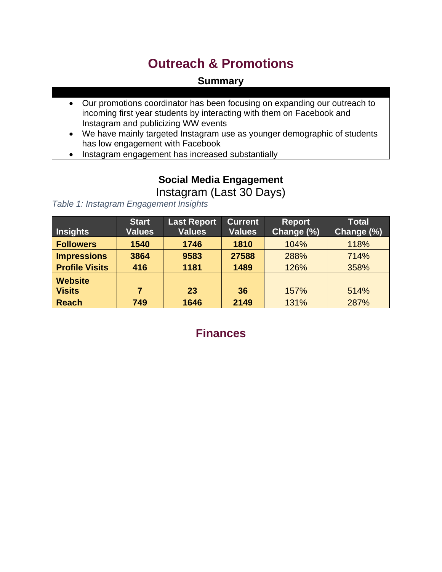# **Outreach & Promotions**

#### **Summary**

- Our promotions coordinator has been focusing on expanding our outreach to incoming first year students by interacting with them on Facebook and Instagram and publicizing WW events
- We have mainly targeted Instagram use as younger demographic of students has low engagement with Facebook
- Instagram engagement has increased substantially

# **Social Media Engagement**

Instagram (Last 30 Days)

*Table 1: Instagram Engagement Insights*

| <b>Insights</b>                 | <b>Start</b><br><b>Values</b> | <b>Last Report</b><br><b>Values</b> | <b>Current</b><br><b>Values</b> | <b>Report</b><br>Change (%) | <b>Total</b><br>Change (%) |
|---------------------------------|-------------------------------|-------------------------------------|---------------------------------|-----------------------------|----------------------------|
| <b>Followers</b>                | 1540                          | 1746                                | 1810                            | 104%                        | 118%                       |
| <b>Impressions</b>              | 3864                          | 9583                                | 27588                           | 288%                        | 714%                       |
| <b>Profile Visits</b>           | 416                           | 1181                                | 1489                            | 126%                        | 358%                       |
| <b>Website</b><br><b>Visits</b> | 7                             | 23                                  | 36                              | 157%                        | 514%                       |
| <b>Reach</b>                    | 749                           | 1646                                | 2149                            | 131%                        | 287%                       |

#### **Finances**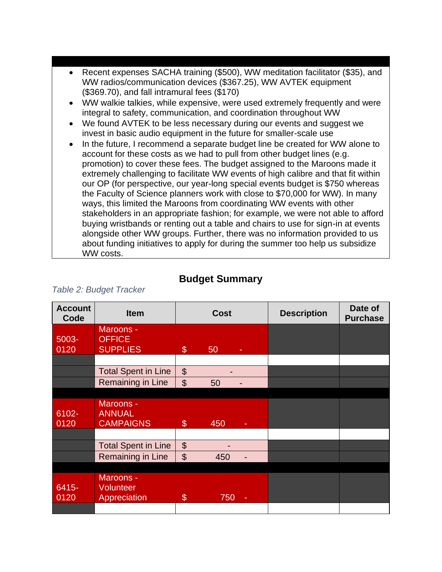- Recent expenses SACHA training (\$500), WW meditation facilitator (\$35), and WW radios/communication devices (\$367.25), WW AVTEK equipment (\$369.70), and fall intramural fees (\$170)
- WW walkie talkies, while expensive, were used extremely frequently and were integral to safety, communication, and coordination throughout WW
- We found AVTEK to be less necessary during our events and suggest we invest in basic audio equipment in the future for smaller-scale use
- In the future, I recommend a separate budget line be created for WW alone to account for these costs as we had to pull from other budget lines (e.g. promotion) to cover these fees. The budget assigned to the Maroons made it extremely challenging to facilitate WW events of high calibre and that fit within our OP (for perspective, our year-long special events budget is \$750 whereas the Faculty of Science planners work with close to \$70,000 for WW). In many ways, this limited the Maroons from coordinating WW events with other stakeholders in an appropriate fashion; for example, we were not able to afford buying wristbands or renting out a table and chairs to use for sign-in at events alongside other WW groups. Further, there was no information provided to us about funding initiatives to apply for during the summer too help us subsidize WW costs.

| <b>Account</b><br>Code | <b>Item</b>                            | <b>Cost</b>               |     | <b>Description</b> | Date of<br><b>Purchase</b> |  |
|------------------------|----------------------------------------|---------------------------|-----|--------------------|----------------------------|--|
| 5003-                  | Maroons -<br><b>OFFICE</b>             |                           |     |                    |                            |  |
| 0120                   | <b>SUPPLIES</b>                        | \$                        | 50  |                    |                            |  |
|                        | <b>Total Spent in Line</b>             | $\mathfrak{S}$            |     |                    |                            |  |
|                        | Remaining in Line                      | $\mathfrak{S}$            | 50  |                    |                            |  |
|                        |                                        |                           |     |                    |                            |  |
| 6102-                  | Maroons -<br><b>ANNUAL</b>             |                           |     |                    |                            |  |
| 0120                   | <b>CAMPAIGNS</b>                       | \$                        | 450 |                    |                            |  |
|                        | <b>Total Spent in Line</b>             | $\boldsymbol{\mathsf{S}}$ |     |                    |                            |  |
|                        | Remaining in Line                      | $\mathfrak{S}$            | 450 |                    |                            |  |
|                        |                                        |                           |     |                    |                            |  |
| 6415-<br>0120          | Maroons -<br>Volunteer<br>Appreciation | $\mathcal{L}$             | 750 |                    |                            |  |
|                        |                                        |                           |     |                    |                            |  |

#### **Budget Summary**

*Table 2: Budget Tracker*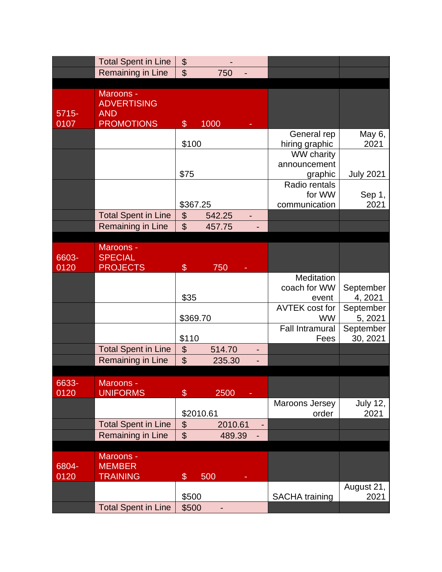|               | <b>Total Spent in Line</b>   | \$                        |         |   |                                |                       |
|---------------|------------------------------|---------------------------|---------|---|--------------------------------|-----------------------|
|               | <b>Remaining in Line</b>     | $\mathfrak{S}$            | 750     |   |                                |                       |
|               |                              |                           |         |   |                                |                       |
|               | Maroons -                    |                           |         |   |                                |                       |
|               | <b>ADVERTISING</b>           |                           |         |   |                                |                       |
| $5715 -$      | <b>AND</b>                   |                           |         |   |                                |                       |
| 0107          | <b>PROMOTIONS</b>            | $\boldsymbol{\mathsf{S}}$ | 1000    |   |                                |                       |
|               |                              |                           |         |   | General rep                    | May 6,                |
|               |                              | \$100                     |         |   | hiring graphic                 | 2021                  |
|               |                              |                           |         |   | WW charity                     |                       |
|               |                              |                           |         |   | announcement                   |                       |
|               |                              | \$75                      |         |   | graphic                        | <b>July 2021</b>      |
|               |                              |                           |         |   | Radio rentals                  |                       |
|               |                              |                           |         |   | for WW                         | Sep 1,                |
|               |                              | \$367.25                  |         |   | communication                  | 2021                  |
|               | <b>Total Spent in Line</b>   | $\boldsymbol{\theta}$     | 542.25  |   |                                |                       |
|               | Remaining in Line            | $\mathfrak{S}$            | 457.75  |   |                                |                       |
|               |                              |                           |         |   |                                |                       |
|               | Maroons -                    |                           |         |   |                                |                       |
| 6603-         | <b>SPECIAL</b>               |                           |         |   |                                |                       |
| 0120          | <b>PROJECTS</b>              | $\$\$                     | 750     |   |                                |                       |
|               |                              |                           |         |   | Meditation                     |                       |
|               |                              |                           |         |   | coach for WW                   | September             |
|               |                              | \$35                      |         |   | event                          | 4, 2021               |
|               |                              |                           |         |   | <b>AVTEK cost for</b>          | September             |
|               |                              | \$369.70                  |         |   | <b>WW</b>                      | 5, 2021               |
|               |                              | \$110                     |         |   | <b>Fall Intramural</b><br>Fees | September<br>30, 2021 |
|               | <b>Total Spent in Line</b>   | $\boldsymbol{\theta}$     | 514.70  |   |                                |                       |
|               | Remaining in Line            | $\mathfrak{S}$            | 235.30  |   |                                |                       |
|               |                              |                           |         |   |                                |                       |
|               |                              |                           |         |   |                                |                       |
| 6633-<br>0120 | Maroons -<br><b>UNIFORMS</b> | \$                        | 2500    |   |                                |                       |
|               |                              |                           |         |   | Maroons Jersey                 | <b>July 12,</b>       |
|               |                              | \$2010.61                 |         |   | order                          | 2021                  |
|               | <b>Total Spent in Line</b>   | $\boldsymbol{\theta}$     | 2010.61 | ٠ |                                |                       |
|               | Remaining in Line            | $\mathfrak{S}$            | 489.39  |   |                                |                       |
|               |                              |                           |         |   |                                |                       |
|               | Maroons -                    |                           |         |   |                                |                       |
| 6804-         | <b>MEMBER</b>                |                           |         |   |                                |                       |
| 0120          | <b>TRAINING</b>              | \$                        | 500     |   |                                |                       |
|               |                              |                           |         |   |                                | August 21,            |
|               |                              | \$500                     |         |   | <b>SACHA</b> training          | 2021                  |
|               | <b>Total Spent in Line</b>   | \$500                     |         |   |                                |                       |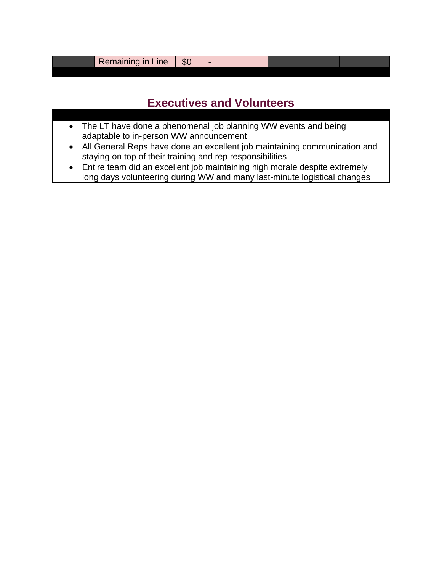Remaining in Line  $\vert$  \$0 -

## **Executives and Volunteers**

- The LT have done a phenomenal job planning WW events and being adaptable to in-person WW announcement
- All General Reps have done an excellent job maintaining communication and staying on top of their training and rep responsibilities
- Entire team did an excellent job maintaining high morale despite extremely long days volunteering during WW and many last-minute logistical changes